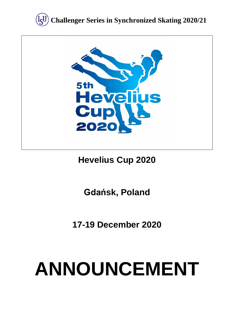



# **Hevelius Cup 2020**

# **Gdańsk, Poland**

**17-19 December 2020**

# **ANNOUNCEMENT**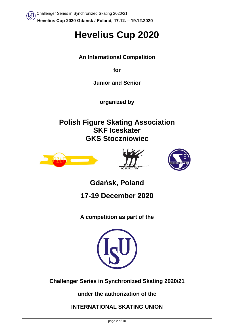# **Hevelius Cup 2020**

**An International Competition** 

**for** 

**Junior and Senior**

**organized by**

**Polish Figure Skating Association SKF Iceskater GKS Stoczniowiec**







**Gdańsk, Poland**

**17-19 December 2020**

**A competition as part of the**



**Challenger Series in Synchronized Skating 2020/21**

**under the authorization of the** 

**INTERNATIONAL SKATING UNION**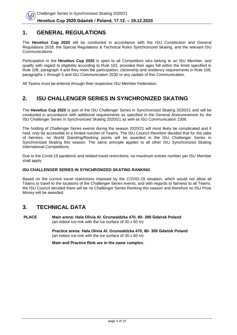## **1. GENERAL REGULATIONS**

The **Hevelius Cup 2020** will be conducted in accordance with the ISU Constitution and General Regulations 2018, the Special Regulations & Technical Rules Synchronized Skating, and the relevant ISU Communications.

Participation in the **Hevelius Cup 2020** is open to all Competitors who belong to an ISU Member, and qualify with regard to eligibility according to Rule 102, provided their ages fall within the limits specified in Rule 108, paragraph 4 and they meet the participation, citizenship and residency requirements in Rule 109, paragraphs 1 through 5 and ISU Communication 2030 or any update of this Communication.

All Teams must be entered through their respective ISU Member Federation.

# **2. ISU CHALLENGER SERIES IN SYNCHRONIZED SKATING**

The **Hevelius Cup 2020** is part of the ISU Challenger Series in Synchronized Skating 2020/21 and will be conducted in accordance with additional requirements as specified in the General Announcement for the ISU Challenger Series in Synchronized Skating 2020/21 as well as ISU Communication 2308.

The holding of Challenger Series events during the season 2020/21 will most likely be complicated and if held, only be accessible to a limited number of Teams. The ISU Council therefore decided that for the sake of fairness, no World Standing/Ranking points will be awarded in the ISU Challenger Series in Synchronized Skating this season. The same principle applies to all other ISU Synchronized Skating International Competitions.

Due to the Covid-19 pandemic and related travel restrictions, no maximum entries number per ISU Member shall apply

#### **ISU CHALLENGER SERIES IN SYNCHRONIZED SKATING RANKING**

Based on the current travel restrictions imposed by the COVID-19 situation, which would not allow all Teams to travel to the locations of the Challenger Series events, and with regards to fairness to all Teams, the ISU Council decided there will be no Challenger Series Ranking this season and therefore no ISU Prize Money will be awarded.

## **3. TECHNICAL DATA**

**PLACE Main arena: Hala Olivia Al. Grunwaldzka 470, 80- 309 Gdańsk Poland** (an indoor ice-rink with the ice surface of 30 x 60 m)

> **Practice arena: Hala Olivia Al. Grunwaldzka 470, 80- 309 Gdańsk Poland** (an indoor ice-rink with the ice surface of 30 x 60 m)

**Main and Practice Rink are in the same complex.**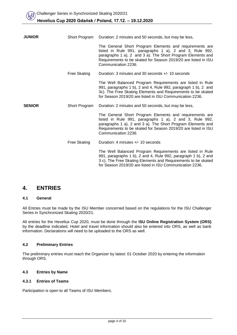| <b>JUNIOR</b> | Short Program       | Duration: 2 minutes and 50 seconds, but may be less,                                                                                                                                                                                                                       |  |
|---------------|---------------------|----------------------------------------------------------------------------------------------------------------------------------------------------------------------------------------------------------------------------------------------------------------------------|--|
|               |                     | The General Short Program Elements and requirements are<br>listed in Rule 991, paragraphs 1 a), 2 and 3, Rule 992,<br>paragraphs 1 a), 2 and 3 a). The Short Program Elements and<br>Requirements to be skated for Season 2019/20 are listed in ISU<br>Communication 2236. |  |
|               | Free Skating        | Duration: 3 minutes and 30 seconds +/- 10 seconds                                                                                                                                                                                                                          |  |
|               |                     | The Well Balanced Program Requirements are listed in Rule<br>991, paragraphs 1 b), 2 and 4, Rule 992, paragraph 1 b), 2 and<br>3c). The Free Skating Elements and Requirements to be skated<br>for Season 2019/20 are listed in ISU Communication 2236.                    |  |
| <b>SENIOR</b> | Short Program       | Duration: 2 minutes and 50 seconds, but may be less,                                                                                                                                                                                                                       |  |
|               |                     | The General Short Program Elements and requirements are<br>listed in Rule 991, paragraphs 1 a), 2 and 3, Rule 992,<br>paragraphs 1 a), 2 and 3 a). The Short Program Elements and<br>Requirements to be skated for Season 2019/20 are listed in ISU<br>Communication 2236. |  |
|               | <b>Free Skating</b> | Duration: 4 minutes +/- 10 seconds                                                                                                                                                                                                                                         |  |
|               |                     | The Well Balanced Program Requirements are listed in Rule<br>991, paragraphs 1 b), 2 and 4, Rule 992, paragraph 1 b), 2 and<br>3 c). The Free Skating Elements and Requirements to be skated<br>for Season 2019/20 are listed in ISU Communication 2236.                   |  |

## **4. ENTRIES**

#### **4.1 General**

All Entries must be made by the ISU Member concerned based on the regulations for the ISU Challenger Series in Synchronized Skating 2020/21.

All entries for the Hevelius Cup 2020, must be done through the **ISU Online Registration System (ORS)** by the deadline indicated. Hotel and travel information should also be entered into ORS, as well as bank information. Declarations will need to be uploaded to the ORS as well.

#### **4.2 Preliminary Entries**

The preliminary entries must reach the Organizer by latest: 01 October 2020 by entering the information through ORS.

#### **4.3 Entries by Name**

#### **4.3.1 Entries of Teams**

Participation is open to all Teams of ISU Members.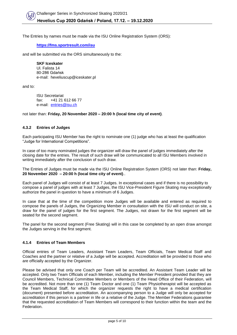The Entries by names must be made via the ISU Online Registration System (ORS):

**<https://fms.sportresult.com/isu>**

and will be submitted via the ORS simultaneously to the:

**SKF Iceskater** Ul. Falista 14 80-286 Gdańsk e-mail: heveliuscup@iceskater.pl

and to:

ISU Secretariat fax: +41 21 612 66 77 e-mail: [entries@isu.ch](mailto:entries@isu.ch)

not later than: **Friday, 20 November 2020 – 20:00 h (local time city of event)**.

#### **4.3.2 Entries of Judges**

Each participating ISU Member has the right to nominate one (1) judge who has at least the qualification "Judge for International Competitions".

In case of too many nominated judges the organizer will draw the panel of judges immediately after the closing date for the entries. The result of such draw will be communicated to all ISU Members involved in writing immediately after the conclusion of such draw.

The Entries of Judges must be made via the ISU Online Registration System (ORS) not later than: **Friday, 20 November 2020 – 20:00 h (local time city of event)**..

Each panel of Judges will consist of at least 7 Judges. In exceptional cases and if there is no possibility to compose a panel of judges with at least 7 Judges, the ISU Vice-President Figure Skating may exceptionally authorize the panel in question to have a minimum of 6 Judges.

In case that at the time of the competition more Judges will be available and entered as required to compose the panels of Judges, the Organizing Member in consultation with the ISU will conduct on site, a draw for the panel of judges for the first segment. The Judges, not drawn for the first segment will be seated for the second segment.

The panel for the second segment (Free Skating) will in this case be completed by an open draw amongst the Judges serving in the first segment.

#### **4.1.4 Entries of Team Members**

Official entries of Team Leaders, Assistant Team Leaders, Team Officials, Team Medical Staff and Coaches and the partner or relative of a Judge will be accepted. Accreditation will be provided to those who are officially accepted by the Organizer.

Please be advised that only one Coach per Team will be accredited. An Assistant Team Leader will be accepted. Only two Team Officials of each Member, including the Member President provided that they are Council Members, Technical Committee Members or Members of the Head Office of their Federation, will be accredited. Not more than one (1) Team Doctor and one (1) Team Physiotherapist will be accepted as the Team Medical Staff, for which the organizer requests the right to have a medical certification (document) presented before accreditation. An accompanying person to a Judge will only be accepted for accreditation if this person is a partner in life or a relative of the Judge. The Member Federations guarantee that the requested accreditation of Team Members will correspond to their function within the team and the Federation.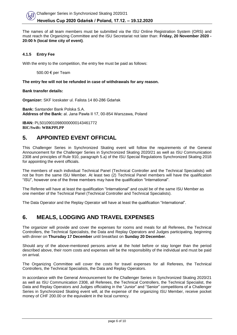The names of all team members must be submitted via the ISU Online Registration System (ORS) and must reach the Organizing Committee and the ISU Secretariat not later than: **Friday, 20 November 2020 - 20:00 h (local time city of event)**.

#### **4.1.5 Entry Fee**

With the entry to the competition, the entry fee must be paid as follows:

500.00 € per Team

#### **The entry fee will not be refunded in case of withdrawals for any reason.**

#### **Bank transfer details:**

**Organizer:** SKF Iceskater ul. Falista 14 80-286 Gdańsk

**Bank:** Santander Bank Polska S.A. **Address of the Bank:** al. Jana Pawła II 17, 00-854 Warszawa, Poland

**IBAN:** PL50109010980000000143461772 **BIC/Swift: WBKPPLPP**

## **5. APPOINTED EVENT OFFICIAL**

This Challenger Series in Synchronized Skating event will follow the requirements of the General Announcement for the Challenger Series in Synchronized Skating 2020/21 as well as ISU Communication 2308 and principles of Rule 910, paragraph 5.a) of the ISU Special Regulations Synchronized Skating 2018 for appointing the event officials.

The members of each individual Technical Panel (Technical Controller and the Technical Specialists) will not be from the same ISU Member. At least two (2) Technical Panel members will have the qualification "ISU", however one of the three members may have the qualification "International".

The Referee will have at least the qualification "International" and could be of the same ISU Member as one member of the Technical Panel (Technical Controller and Technical Specialists).

The Data Operator and the Replay Operator will have at least the qualification "International".

## **6. MEALS, LODGING AND TRAVEL EXPENSES**

The organizer will provide and cover the expenses for rooms and meals for all Referees, the Technical Controllers, the Technical Specialists, the Data and Replay Operators and Judges participating, beginning with dinner on **Thursday 17 December** until breakfast on **Sunday 20 December**.

Should any of the above-mentioned persons arrive at the hotel before or stay longer than the period described above, their room costs and expenses will be the responsibility of the individual and must be paid on arrival.

The Organizing Committee will cover the costs for travel expenses for all Referees, the Technical Controllers, the Technical Specialists, the Data and Replay Operators.

In accordance with the General Announcement for the Challenger Series in Synchronized Skating 2020/21 as well as ISU Communication 2308, all Referees, the Technical Controllers, the Technical Specialist, the Data and Replay Operators and Judges officiating in the "Junior" and "Senior" competitions of a Challenger Series in Synchronized Skating event will, at the expense of the organizing ISU Member, receive pocket money of CHF 200.00 or the equivalent in the local currency.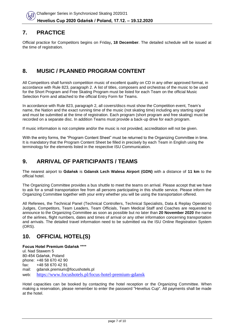# **7. PRACTICE**

Official practice for Competitors begins on Friday**, 18 December**. The detailed schedule will be issued at the time of registration.

# **8. MUSIC / PLANNED PROGRAM CONTENT**

All Competitors shall furnish competition music of excellent quality on CD in any other approved format, in accordance with Rule 823, paragraph 2. A list of titles, composers and orchestras of the music to be used for the Short Program and Free Skating Program must be listed for each Team on the official Music Selection Form and attached to the official Entry Form for Teams.

In accordance with Rule 823, paragraph 2, all covers/discs must show the Competition event, Team's name, the Nation and the exact running time of the music (not skating time) including any starting signal and must be submitted at the time of registration. Each program (short program and free skating) must be recorded on a separate disc. In addition Teams must provide a back-up drive for each program.

If music information is not complete and/or the music is not provided, accreditation will not be given.

With the entry forms, the "Program Content Sheet" must be returned to the Organizing Committee in time. It is mandatory that the Program Content Sheet be filled in precisely by each Team in English using the terminology for the elements listed in the respective ISU Communication.

# **9. ARRIVAL OF PARTICIPANTS / TEAMS**

The nearest airport to **Gdańsk** is **Gdansk Lech Walesa Airport (GDN)** with a distance of **11 km** to the official hotel.

The Organizing Committee provides a bus shuttle to meet the teams on arrival. Please accept that we have to ask for a small transportation fee from all persons participating in this shuttle service. Please inform the Organizing Committee together with your entry whether you will be using the transportation offered.

All Referees, the Technical Panel (Technical Controllers, Technical Specialists, Data & Replay Operators) Judges, Competitors, Team Leaders, Team Officials, Team Medical Staff and Coaches are requested to announce to the Organizing Committee as soon as possible but no later than **20 November 2020** the name of the airlines, flight numbers, dates and times of arrival or any other information concerning transportation and arrivals. The detailed travel information need to be submitted via the ISU Online Registration System (ORS).

# **10. OFFICIAL HOTEL(S)**

#### **Focus Hotel Premium Gdańsk \*\*\*\*** ul. Nad Stawem 5

80-454 Gdańsk, Poland phone: +48 58 670 42 90 fax: +48 58 670 42 91 mail: gdansk.premium@focushotels.pl web: <https://www.focushotels.pl/focus-hotel-premium-gdansk>

Hotel capacities can be booked by contacting the hotel reception or the Organizing Committee. When making a reservation, please remember to enter the password "Hevelius Cup". All payments shall be made at the hotel.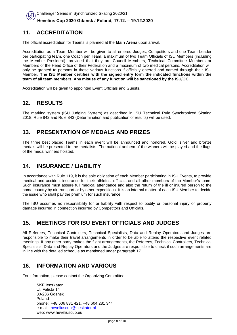## **11. ACCREDITATION**

The official accreditation for Teams is planned at the **Main Arena** upon arrival.

Accreditation as a Team Member will be given to all entered Judges, Competitors and one Team Leader per participating team, one Coach per Team, a maximum of two Team Officials of ISU Members (including the Member President), provided that they are Council Members, Technical Committee Members or Members of the Head Office of their Federation and a maximum of two medical persons. Accreditation will only be granted to persons in those various functions if officially entered and named through their ISU Member. **The ISU Member certifies with the signed entry form the indicated functions within the team of all team members. Any misuse of any function will be sanctioned by the ISU/OC.**

Accreditation will be given to appointed Event Officials and Guests.

## **12. RESULTS**

The marking system (ISU Judging System) as described in ISU Technical Rule Synchronized Skating 2018, Rule 842 and Rule 843 (Determination and publication of results) will be used.

## **13. PRESENTATION OF MEDALS AND PRIZES**

The three best placed Teams in each event will be announced and honored. Gold, silver and bronze medals will be presented to the medalists. The national anthem of the winners will be played and the flags of the medal winners hoisted.

# **14. INSURANCE / LIABILITY**

In accordance with Rule 119, it is the sole obligation of each Member participating in ISU Events, to provide medical and accident insurance for their athletes, officials and all other members of the Member's team. Such insurance must assure full medical attendance and also the return of the ill or injured person to the home country by air transport or by other expeditious. It is an internal matter of each ISU Member to decide the issue who shall pay the premium for such insurance.

The ISU assumes no responsibility for or liability with respect to bodily or personal injury or property damage incurred in connection incurred by Competitors and Officials.

## **15. MEETINGS FOR ISU EVENT OFFICIALS AND JUDGES**

All Referees, Technical Controllers, Technical Specialists, Data and Replay Operators and Judges are responsible to make their travel arrangements in order to be able to attend the respective event related meetings. If any other party makes the flight arrangements, the Referees, Technical Controllers, Technical Specialists, Data and Replay Operators and the Judges are responsible to check if such arrangements are in line with the detailed schedule as mentioned under paragraph 17.

## **16. INFORMATION AND VARIOUS**

For information, please contact the Organizing Committee:

**SKF Iceskater** Ul. Falista 14 80-286 Gdańsk Poland phone: +48 606 831 421, +48 604 281 344 e-mail: [heveliuscup@iceskater.pl](mailto:heveliuscup@iceskater.pl) web: www.heveliuscup.eu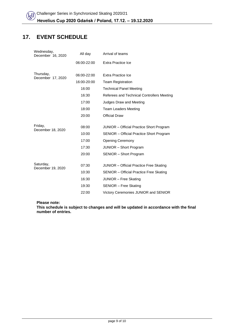# **17. EVENT SCHEDULE**

| Wednesday,<br>December 16, 2020 | All day     | Arrival of teams                                |  |
|---------------------------------|-------------|-------------------------------------------------|--|
|                                 | 06:00-22:00 | Extra Practice Ice                              |  |
| Thursday,                       | 06:00-22:00 | Extra Practice Ice                              |  |
| December 17, 2020               | 16:00-20:00 | <b>Team Registration</b>                        |  |
|                                 | 16:00       | <b>Technical Panel Meeting</b>                  |  |
|                                 | 16:30       | Referees and Technical Controllers Meeting      |  |
|                                 | 17:00       | Judges Draw and Meeting                         |  |
|                                 | 18:00       | <b>Team Leaders Meeting</b>                     |  |
|                                 | 20:00       | <b>Official Draw</b>                            |  |
| Friday,                         |             |                                                 |  |
| December 18, 2020               | 08:00       | <b>JUNIOR</b> – Official Practice Short Program |  |
|                                 | 10:00       | SENIOR - Official Practice Short Program        |  |
|                                 | 17:00       | <b>Opening Ceremony</b>                         |  |
|                                 | 17:30       | <b>JUNIOR</b> – Short Program                   |  |
|                                 | 20:00       | SENIOR - Short Program                          |  |
|                                 |             |                                                 |  |
| Saturday,<br>December 19, 2020  | 07:30       | <b>JUNIOR</b> – Official Practice Free Skating  |  |
|                                 | 10:30       | <b>SENIOR</b> – Official Practice Free Skating  |  |
|                                 | 16:30       | JUNIOR - Free Skating                           |  |
|                                 | 19:30       | SENIOR - Free Skating                           |  |
|                                 | 22:00       | Victory Ceremonies JUNIOR and SENIOR            |  |

**Please note:**

**This schedule is subject to changes and will be updated in accordance with the final number of entries.**